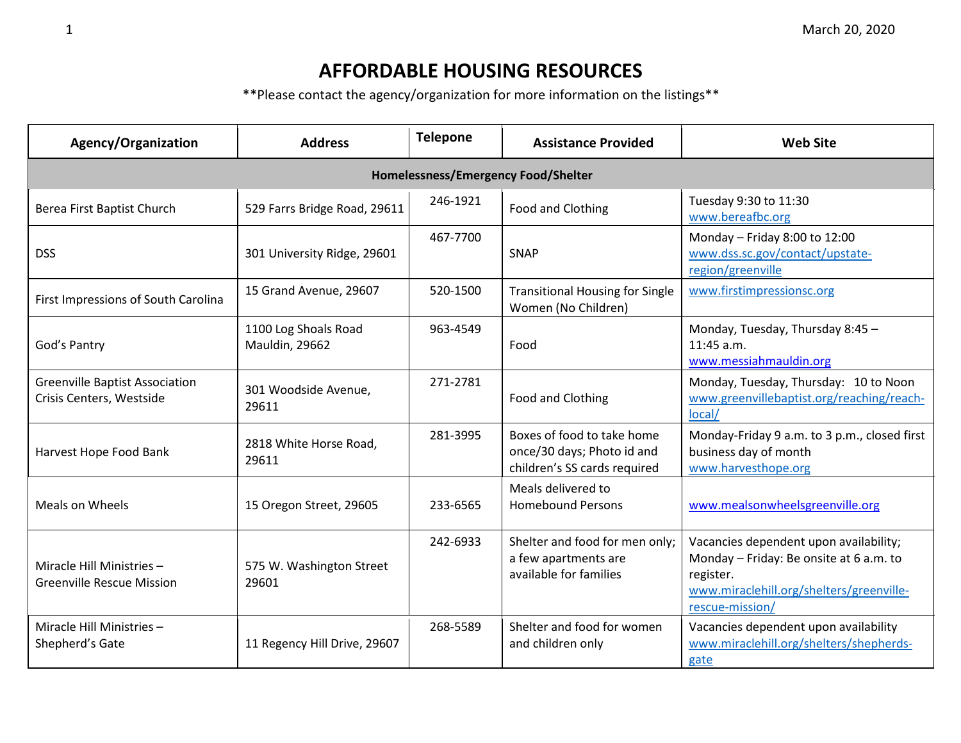## **AFFORDABLE HOUSING RESOURCES**

\*\*Please contact the agency/organization for more information on the listings\*\*

| Agency/Organization                                               | <b>Address</b>                         | <b>Telepone</b> | <b>Assistance Provided</b>                                                               | <b>Web Site</b>                                                                                                                                               |  |  |  |
|-------------------------------------------------------------------|----------------------------------------|-----------------|------------------------------------------------------------------------------------------|---------------------------------------------------------------------------------------------------------------------------------------------------------------|--|--|--|
| Homelessness/Emergency Food/Shelter                               |                                        |                 |                                                                                          |                                                                                                                                                               |  |  |  |
| Berea First Baptist Church                                        | 529 Farrs Bridge Road, 29611           | 246-1921        | Food and Clothing                                                                        | Tuesday 9:30 to 11:30<br>www.bereafbc.org                                                                                                                     |  |  |  |
| <b>DSS</b>                                                        | 301 University Ridge, 29601            | 467-7700        | <b>SNAP</b>                                                                              | Monday - Friday 8:00 to 12:00<br>www.dss.sc.gov/contact/upstate-<br>region/greenville                                                                         |  |  |  |
| First Impressions of South Carolina                               | 15 Grand Avenue, 29607                 | 520-1500        | <b>Transitional Housing for Single</b><br>Women (No Children)                            | www.firstimpressionsc.org                                                                                                                                     |  |  |  |
| God's Pantry                                                      | 1100 Log Shoals Road<br>Mauldin, 29662 | 963-4549        | Food                                                                                     | Monday, Tuesday, Thursday 8:45 -<br>$11:45$ a.m.<br>www.messiahmauldin.org                                                                                    |  |  |  |
| <b>Greenville Baptist Association</b><br>Crisis Centers, Westside | 301 Woodside Avenue,<br>29611          | 271-2781        | Food and Clothing                                                                        | Monday, Tuesday, Thursday: 10 to Noon<br>www.greenvillebaptist.org/reaching/reach-<br>local/                                                                  |  |  |  |
| Harvest Hope Food Bank                                            | 2818 White Horse Road,<br>29611        | 281-3995        | Boxes of food to take home<br>once/30 days; Photo id and<br>children's SS cards required | Monday-Friday 9 a.m. to 3 p.m., closed first<br>business day of month<br>www.harvesthope.org                                                                  |  |  |  |
| Meals on Wheels                                                   | 15 Oregon Street, 29605                | 233-6565        | Meals delivered to<br><b>Homebound Persons</b>                                           | www.mealsonwheelsgreenville.org                                                                                                                               |  |  |  |
| Miracle Hill Ministries-<br><b>Greenville Rescue Mission</b>      | 575 W. Washington Street<br>29601      | 242-6933        | Shelter and food for men only;<br>a few apartments are<br>available for families         | Vacancies dependent upon availability;<br>Monday - Friday: Be onsite at 6 a.m. to<br>register.<br>www.miraclehill.org/shelters/greenville-<br>rescue-mission/ |  |  |  |
| Miracle Hill Ministries-<br>Shepherd's Gate                       | 11 Regency Hill Drive, 29607           | 268-5589        | Shelter and food for women<br>and children only                                          | Vacancies dependent upon availability<br>www.miraclehill.org/shelters/shepherds-<br>gate                                                                      |  |  |  |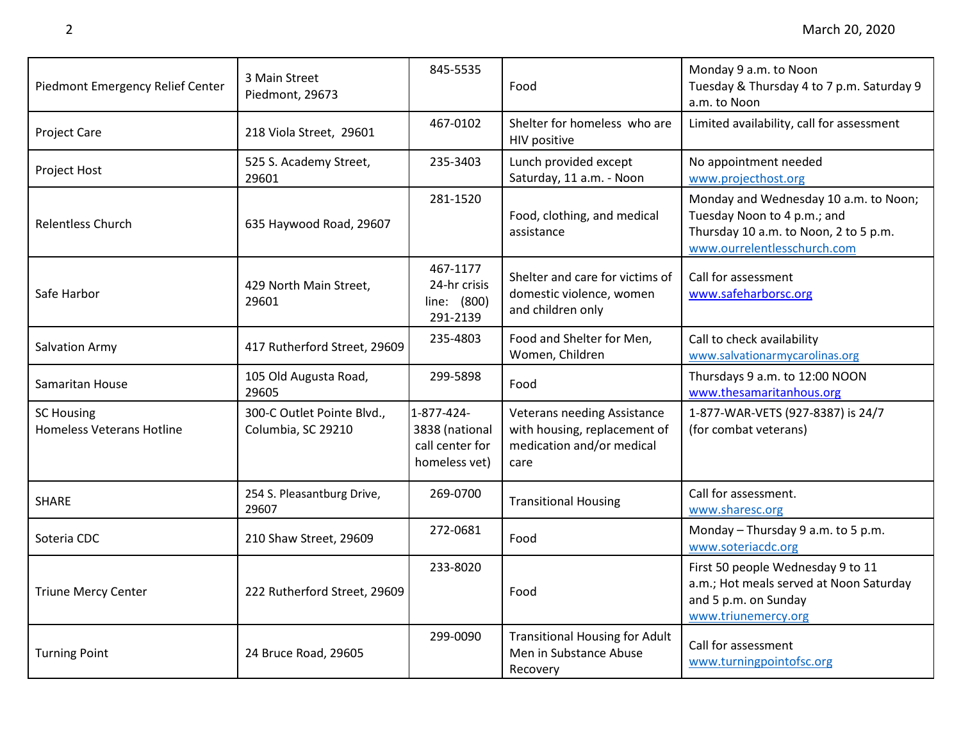| Piedmont Emergency Relief Center                      | 3 Main Street<br>Piedmont, 29673                 | 845-5535                                                         | Food                                                                                                    | Monday 9 a.m. to Noon<br>Tuesday & Thursday 4 to 7 p.m. Saturday 9<br>a.m. to Noon                                                           |
|-------------------------------------------------------|--------------------------------------------------|------------------------------------------------------------------|---------------------------------------------------------------------------------------------------------|----------------------------------------------------------------------------------------------------------------------------------------------|
| <b>Project Care</b>                                   | 218 Viola Street, 29601                          | 467-0102                                                         | Shelter for homeless who are<br>HIV positive                                                            | Limited availability, call for assessment                                                                                                    |
| Project Host                                          | 525 S. Academy Street,<br>29601                  | 235-3403                                                         | Lunch provided except<br>Saturday, 11 a.m. - Noon                                                       | No appointment needed<br>www.projecthost.org                                                                                                 |
| <b>Relentless Church</b>                              | 635 Haywood Road, 29607                          | 281-1520                                                         | Food, clothing, and medical<br>assistance                                                               | Monday and Wednesday 10 a.m. to Noon;<br>Tuesday Noon to 4 p.m.; and<br>Thursday 10 a.m. to Noon, 2 to 5 p.m.<br>www.ourrelentlesschurch.com |
| Safe Harbor                                           | 429 North Main Street,<br>29601                  | 467-1177<br>24-hr crisis<br>line: (800)<br>291-2139              | Shelter and care for victims of<br>domestic violence, women<br>and children only                        | Call for assessment<br>www.safeharborsc.org                                                                                                  |
| Salvation Army                                        | 417 Rutherford Street, 29609                     | 235-4803                                                         | Food and Shelter for Men,<br>Women, Children                                                            | Call to check availability<br>www.salvationarmycarolinas.org                                                                                 |
| Samaritan House                                       | 105 Old Augusta Road,<br>29605                   | 299-5898                                                         | Food                                                                                                    | Thursdays 9 a.m. to 12:00 NOON<br>www.thesamaritanhous.org                                                                                   |
| <b>SC Housing</b><br><b>Homeless Veterans Hotline</b> | 300-C Outlet Pointe Blvd.,<br>Columbia, SC 29210 | 1-877-424-<br>3838 (national<br>call center for<br>homeless vet) | <b>Veterans needing Assistance</b><br>with housing, replacement of<br>medication and/or medical<br>care | 1-877-WAR-VETS (927-8387) is 24/7<br>(for combat veterans)                                                                                   |
| <b>SHARE</b>                                          | 254 S. Pleasantburg Drive,<br>29607              | 269-0700                                                         | <b>Transitional Housing</b>                                                                             | Call for assessment.<br>www.sharesc.org                                                                                                      |
| Soteria CDC                                           | 210 Shaw Street, 29609                           | 272-0681                                                         | Food                                                                                                    | Monday - Thursday 9 a.m. to 5 p.m.<br>www.soteriacdc.org                                                                                     |
| <b>Triune Mercy Center</b>                            | 222 Rutherford Street, 29609                     | 233-8020                                                         | Food                                                                                                    | First 50 people Wednesday 9 to 11<br>a.m.; Hot meals served at Noon Saturday<br>and 5 p.m. on Sunday<br>www.triunemercy.org                  |
| <b>Turning Point</b>                                  | 24 Bruce Road, 29605                             | 299-0090                                                         | <b>Transitional Housing for Adult</b><br>Men in Substance Abuse<br>Recovery                             | Call for assessment<br>www.turningpointofsc.org                                                                                              |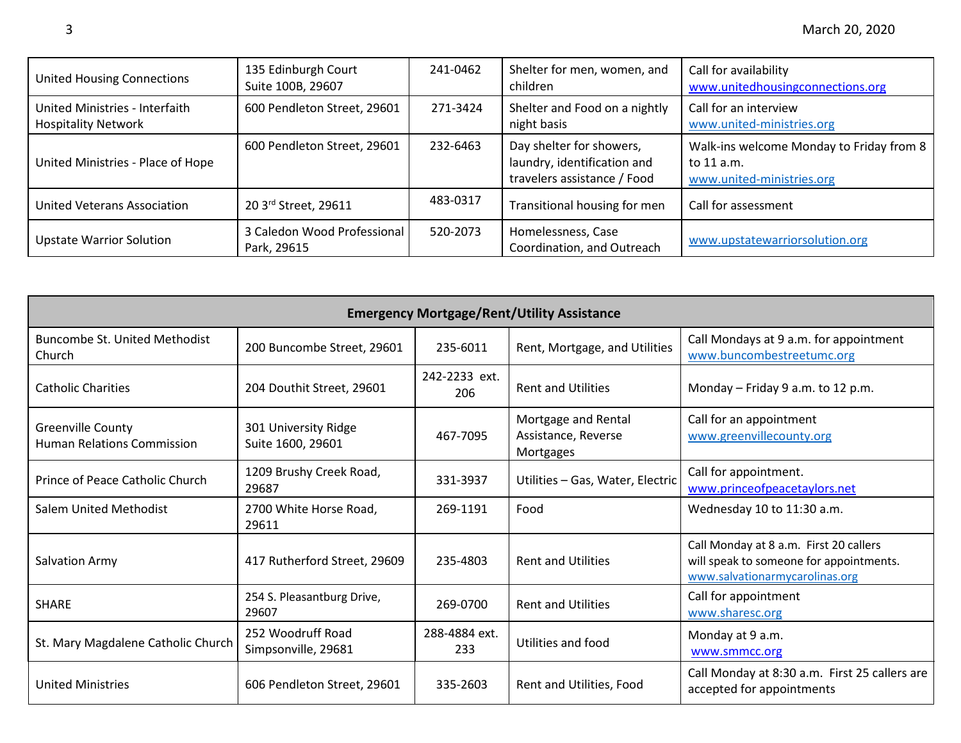| <b>United Housing Connections</b>                            | 135 Edinburgh Court<br>Suite 100B, 29607   | 241-0462 | Shelter for men, women, and<br>children                                                | Call for availability<br>www.unitedhousingconnections.org                           |
|--------------------------------------------------------------|--------------------------------------------|----------|----------------------------------------------------------------------------------------|-------------------------------------------------------------------------------------|
| United Ministries - Interfaith<br><b>Hospitality Network</b> | 600 Pendleton Street, 29601                | 271-3424 | Shelter and Food on a nightly<br>night basis                                           | Call for an interview<br>www.united-ministries.org                                  |
| United Ministries - Place of Hope                            | 600 Pendleton Street, 29601                | 232-6463 | Day shelter for showers,<br>laundry, identification and<br>travelers assistance / Food | Walk-ins welcome Monday to Friday from 8<br>to 11 a.m.<br>www.united-ministries.org |
| United Veterans Association                                  | 20 3rd Street, 29611                       | 483-0317 | Transitional housing for men                                                           | Call for assessment                                                                 |
| <b>Upstate Warrior Solution</b>                              | 3 Caledon Wood Professional<br>Park, 29615 | 520-2073 | Homelessness, Case<br>Coordination, and Outreach                                       | www.upstatewarriorsolution.org                                                      |

| <b>Emergency Mortgage/Rent/Utility Assistance</b>             |                                           |                      |                                                         |                                                                                                                     |  |
|---------------------------------------------------------------|-------------------------------------------|----------------------|---------------------------------------------------------|---------------------------------------------------------------------------------------------------------------------|--|
| Buncombe St. United Methodist<br>Church                       | 200 Buncombe Street, 29601                | 235-6011             | Rent, Mortgage, and Utilities                           | Call Mondays at 9 a.m. for appointment<br>www.buncombestreetumc.org                                                 |  |
| <b>Catholic Charities</b>                                     | 204 Douthit Street, 29601                 | 242-2233 ext.<br>206 | <b>Rent and Utilities</b>                               | Monday - Friday 9 a.m. to 12 p.m.                                                                                   |  |
| <b>Greenville County</b><br><b>Human Relations Commission</b> | 301 University Ridge<br>Suite 1600, 29601 | 467-7095             | Mortgage and Rental<br>Assistance, Reverse<br>Mortgages | Call for an appointment<br>www.greenvillecounty.org                                                                 |  |
| Prince of Peace Catholic Church                               | 1209 Brushy Creek Road,<br>29687          | 331-3937             | Utilities - Gas, Water, Electric                        | Call for appointment.<br>www.princeofpeacetaylors.net                                                               |  |
| Salem United Methodist                                        | 2700 White Horse Road,<br>29611           | 269-1191             | Food                                                    | Wednesday 10 to 11:30 a.m.                                                                                          |  |
| Salvation Army                                                | 417 Rutherford Street, 29609              | 235-4803             | <b>Rent and Utilities</b>                               | Call Monday at 8 a.m. First 20 callers<br>will speak to someone for appointments.<br>www.salvationarmycarolinas.org |  |
| <b>SHARE</b>                                                  | 254 S. Pleasantburg Drive,<br>29607       | 269-0700             | <b>Rent and Utilities</b>                               | Call for appointment<br>www.sharesc.org                                                                             |  |
| St. Mary Magdalene Catholic Church                            | 252 Woodruff Road<br>Simpsonville, 29681  | 288-4884 ext.<br>233 | Utilities and food                                      | Monday at 9 a.m.<br>www.smmcc.org                                                                                   |  |
| <b>United Ministries</b>                                      | 606 Pendleton Street, 29601               | 335-2603             | Rent and Utilities, Food                                | Call Monday at 8:30 a.m. First 25 callers are<br>accepted for appointments                                          |  |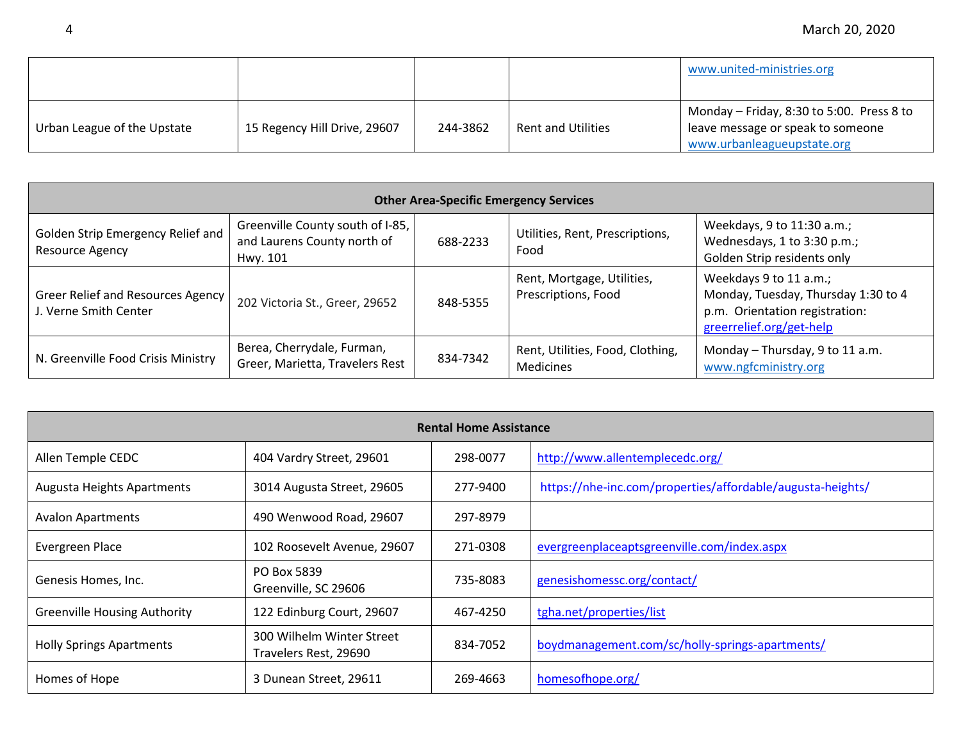|                             |                              |          |                           | www.united-ministries.org                                                                                    |
|-----------------------------|------------------------------|----------|---------------------------|--------------------------------------------------------------------------------------------------------------|
| Urban League of the Upstate | 15 Regency Hill Drive, 29607 | 244-3862 | <b>Rent and Utilities</b> | Monday - Friday, 8:30 to 5:00. Press 8 to<br>leave message or speak to someone<br>www.urbanleagueupstate.org |

| <b>Other Area-Specific Emergency Services</b>                     |                                                                             |          |                                                   |                                                                                                                             |  |
|-------------------------------------------------------------------|-----------------------------------------------------------------------------|----------|---------------------------------------------------|-----------------------------------------------------------------------------------------------------------------------------|--|
| Golden Strip Emergency Relief and<br>Resource Agency              | Greenville County south of I-85,<br>and Laurens County north of<br>Hwy. 101 | 688-2233 | Utilities, Rent, Prescriptions,<br>Food           | Weekdays, 9 to 11:30 a.m.;<br>Wednesdays, 1 to 3:30 p.m.;<br>Golden Strip residents only                                    |  |
| <b>Greer Relief and Resources Agency</b><br>J. Verne Smith Center | 202 Victoria St., Greer, 29652                                              | 848-5355 | Rent, Mortgage, Utilities,<br>Prescriptions, Food | Weekdays 9 to 11 a.m.;<br>Monday, Tuesday, Thursday 1:30 to 4<br>p.m. Orientation registration:<br>greerrelief.org/get-help |  |
| N. Greenville Food Crisis Ministry                                | Berea, Cherrydale, Furman,<br>Greer, Marietta, Travelers Rest               | 834-7342 | Rent, Utilities, Food, Clothing,<br>Medicines     | Monday - Thursday, 9 to 11 a.m.<br>www.ngfcministry.org                                                                     |  |

| <b>Rental Home Assistance</b>       |                                                    |          |                                                            |  |
|-------------------------------------|----------------------------------------------------|----------|------------------------------------------------------------|--|
| Allen Temple CEDC                   | 404 Vardry Street, 29601                           | 298-0077 | http://www.allentemplecedc.org/                            |  |
| <b>Augusta Heights Apartments</b>   | 3014 Augusta Street, 29605                         | 277-9400 | https://nhe-inc.com/properties/affordable/augusta-heights/ |  |
| <b>Avalon Apartments</b>            | 490 Wenwood Road, 29607                            | 297-8979 |                                                            |  |
| Evergreen Place                     | 102 Roosevelt Avenue, 29607                        | 271-0308 | evergreenplaceaptsgreenville.com/index.aspx                |  |
| Genesis Homes, Inc.                 | PO Box 5839<br>Greenville, SC 29606                | 735-8083 | genesishomessc.org/contact/                                |  |
| <b>Greenville Housing Authority</b> | 122 Edinburg Court, 29607                          | 467-4250 | tgha.net/properties/list                                   |  |
| <b>Holly Springs Apartments</b>     | 300 Wilhelm Winter Street<br>Travelers Rest, 29690 | 834-7052 | boydmanagement.com/sc/holly-springs-apartments/            |  |
| Homes of Hope                       | 3 Dunean Street, 29611                             | 269-4663 | homesofhope.org/                                           |  |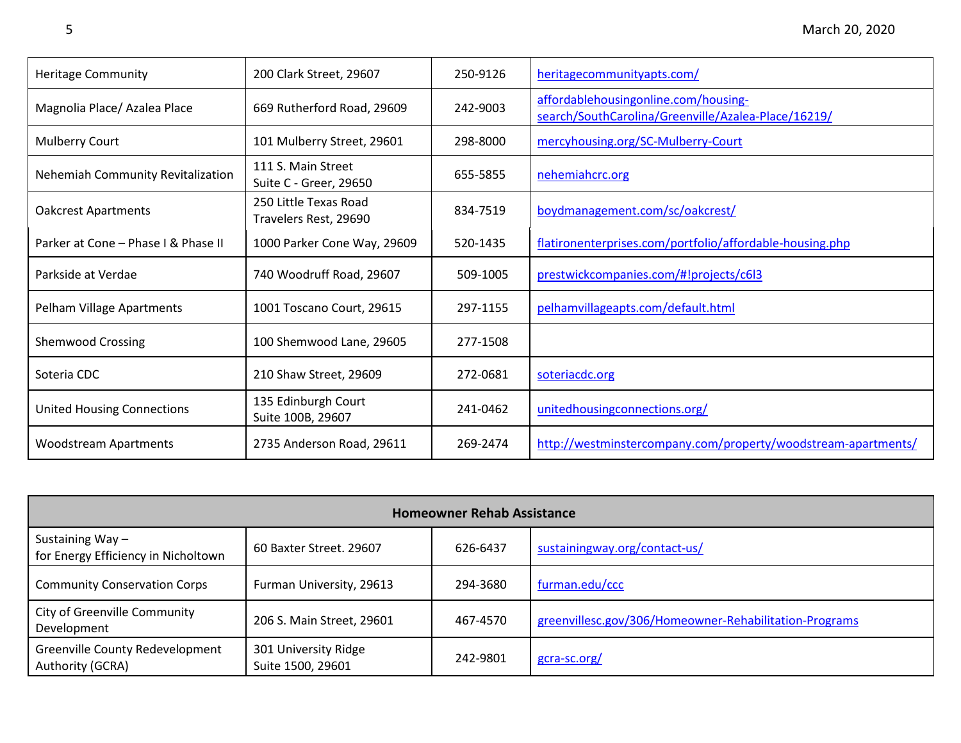| <b>Heritage Community</b>           | 200 Clark Street, 29607                        | 250-9126 | heritagecommunityapts.com/                                                                  |
|-------------------------------------|------------------------------------------------|----------|---------------------------------------------------------------------------------------------|
| Magnolia Place/ Azalea Place        | 669 Rutherford Road, 29609                     | 242-9003 | affordablehousingonline.com/housing-<br>search/SouthCarolina/Greenville/Azalea-Place/16219/ |
| <b>Mulberry Court</b>               | 101 Mulberry Street, 29601                     | 298-8000 | mercyhousing.org/SC-Mulberry-Court                                                          |
| Nehemiah Community Revitalization   | 111 S. Main Street<br>Suite C - Greer, 29650   | 655-5855 | nehemiahcrc.org                                                                             |
| <b>Oakcrest Apartments</b>          | 250 Little Texas Road<br>Travelers Rest, 29690 | 834-7519 | boydmanagement.com/sc/oakcrest/                                                             |
| Parker at Cone - Phase I & Phase II | 1000 Parker Cone Way, 29609                    | 520-1435 | flatironenterprises.com/portfolio/affordable-housing.php                                    |
| Parkside at Verdae                  | 740 Woodruff Road, 29607                       | 509-1005 | prestwickcompanies.com/#!projects/c6l3                                                      |
| Pelham Village Apartments           | 1001 Toscano Court, 29615                      | 297-1155 | pelhamvillageapts.com/default.html                                                          |
| <b>Shemwood Crossing</b>            | 100 Shemwood Lane, 29605                       | 277-1508 |                                                                                             |
| Soteria CDC                         | 210 Shaw Street, 29609                         | 272-0681 | soteriacdc.org                                                                              |
| <b>United Housing Connections</b>   | 135 Edinburgh Court<br>Suite 100B, 29607       | 241-0462 | unitedhousingconnections.org/                                                               |
| <b>Woodstream Apartments</b>        | 2735 Anderson Road, 29611                      | 269-2474 | http://westminstercompany.com/property/woodstream-apartments/                               |

| <b>Homeowner Rehab Assistance</b>                      |                                           |          |                                                        |  |  |
|--------------------------------------------------------|-------------------------------------------|----------|--------------------------------------------------------|--|--|
| Sustaining Way-<br>for Energy Efficiency in Nicholtown | 60 Baxter Street. 29607                   | 626-6437 | sustainingway.org/contact-us/                          |  |  |
| <b>Community Conservation Corps</b>                    | Furman University, 29613                  | 294-3680 | furman.edu/ccc                                         |  |  |
| City of Greenville Community<br>Development            | 206 S. Main Street, 29601                 | 467-4570 | greenvillesc.gov/306/Homeowner-Rehabilitation-Programs |  |  |
| Greenville County Redevelopment<br>Authority (GCRA)    | 301 University Ridge<br>Suite 1500, 29601 | 242-9801 | gcra-sc.org/                                           |  |  |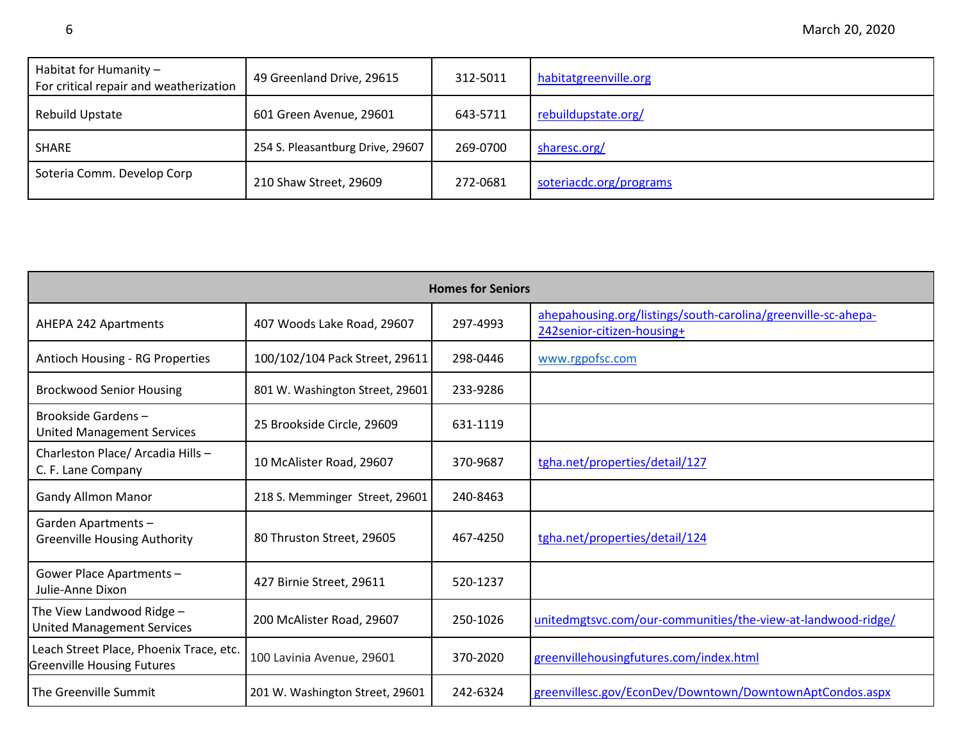| Habitat for Humanity -<br>For critical repair and weatherization | 49 Greenland Drive, 29615        | 312-5011 | habitatgreenville.org   |
|------------------------------------------------------------------|----------------------------------|----------|-------------------------|
| Rebuild Upstate                                                  | 601 Green Avenue, 29601          | 643-5711 | rebuildupstate.org/     |
| SHARE                                                            | 254 S. Pleasantburg Drive, 29607 | 269-0700 | sharesc.org/            |
| Soteria Comm. Develop Corp                                       | 210 Shaw Street, 29609           | 272-0681 | soteriacdc.org/programs |

| <b>Homes for Seniors</b>                                                     |                                 |          |                                                                                             |  |
|------------------------------------------------------------------------------|---------------------------------|----------|---------------------------------------------------------------------------------------------|--|
| <b>AHEPA 242 Apartments</b>                                                  | 407 Woods Lake Road, 29607      | 297-4993 | ahepahousing.org/listings/south-carolina/greenville-sc-ahepa-<br>242senior-citizen-housing+ |  |
| Antioch Housing - RG Properties                                              | 100/102/104 Pack Street, 29611  | 298-0446 | www.rgpofsc.com                                                                             |  |
| <b>Brockwood Senior Housing</b>                                              | 801 W. Washington Street, 29601 | 233-9286 |                                                                                             |  |
| Brookside Gardens-<br><b>United Management Services</b>                      | 25 Brookside Circle, 29609      | 631-1119 |                                                                                             |  |
| Charleston Place/ Arcadia Hills -<br>C. F. Lane Company                      | 10 McAlister Road, 29607        | 370-9687 | tgha.net/properties/detail/127                                                              |  |
| <b>Gandy Allmon Manor</b>                                                    | 218 S. Memminger Street, 29601  | 240-8463 |                                                                                             |  |
| Garden Apartments-<br><b>Greenville Housing Authority</b>                    | 80 Thruston Street, 29605       | 467-4250 | tgha.net/properties/detail/124                                                              |  |
| Gower Place Apartments -<br>Julie-Anne Dixon                                 | 427 Birnie Street, 29611        | 520-1237 |                                                                                             |  |
| The View Landwood Ridge -<br><b>United Management Services</b>               | 200 McAlister Road, 29607       | 250-1026 | unitedmgtsvc.com/our-communities/the-view-at-landwood-ridge/                                |  |
| Leach Street Place, Phoenix Trace, etc.<br><b>Greenville Housing Futures</b> | 100 Lavinia Avenue, 29601       | 370-2020 | greenvillehousingfutures.com/index.html                                                     |  |
| The Greenville Summit                                                        | 201 W. Washington Street, 29601 | 242-6324 | greenvillesc.gov/EconDev/Downtown/DowntownAptCondos.aspx                                    |  |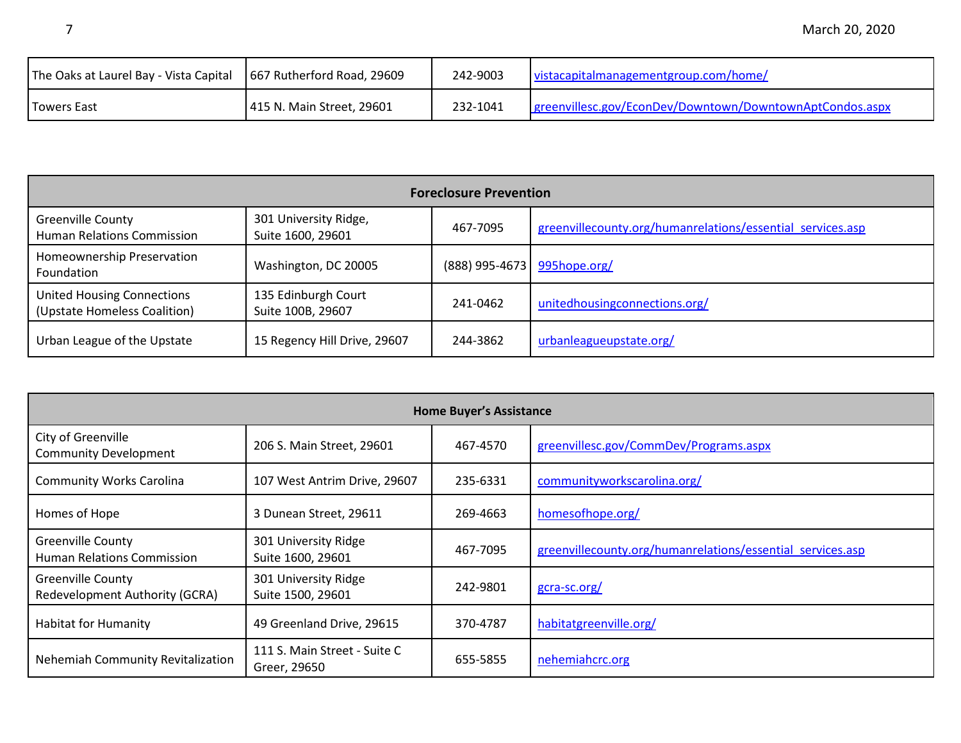| The Oaks at Laurel Bay - Vista Capital | 667 Rutherford Road, 29609 | 242-9003 | vistacapitalmanagementgroup.com/home/                    |
|----------------------------------------|----------------------------|----------|----------------------------------------------------------|
| Towers East                            | 415 N. Main Street, 29601  | 232-1041 | greenvillesc.gov/EconDev/Downtown/DowntownAptCondos.aspx |

| <b>Foreclosure Prevention</b>                                     |                                            |                             |                                                            |  |
|-------------------------------------------------------------------|--------------------------------------------|-----------------------------|------------------------------------------------------------|--|
| <b>Greenville County</b><br><b>Human Relations Commission</b>     | 301 University Ridge,<br>Suite 1600, 29601 | 467-7095                    | greenvillecounty.org/humanrelations/essential services.asp |  |
| Homeownership Preservation<br>Foundation                          | Washington, DC 20005                       | (888) 995-4673 995hope.org/ |                                                            |  |
| <b>United Housing Connections</b><br>(Upstate Homeless Coalition) | 135 Edinburgh Court<br>Suite 100B, 29607   | 241-0462                    | unitedhousingconnections.org/                              |  |
| Urban League of the Upstate                                       | 15 Regency Hill Drive, 29607               | 244-3862                    | urbanleagueupstate.org/                                    |  |

| <b>Home Buyer's Assistance</b>                                |                                              |          |                                                            |
|---------------------------------------------------------------|----------------------------------------------|----------|------------------------------------------------------------|
| City of Greenville<br><b>Community Development</b>            | 206 S. Main Street, 29601                    | 467-4570 | greenvillesc.gov/CommDev/Programs.aspx                     |
| <b>Community Works Carolina</b>                               | 107 West Antrim Drive, 29607                 | 235-6331 | communityworkscarolina.org/                                |
| Homes of Hope                                                 | 3 Dunean Street, 29611                       | 269-4663 | homesofhope.org/                                           |
| <b>Greenville County</b><br><b>Human Relations Commission</b> | 301 University Ridge<br>Suite 1600, 29601    | 467-7095 | greenvillecounty.org/humanrelations/essential services.asp |
| <b>Greenville County</b><br>Redevelopment Authority (GCRA)    | 301 University Ridge<br>Suite 1500, 29601    | 242-9801 | gcra-sc.org/                                               |
| <b>Habitat for Humanity</b>                                   | 49 Greenland Drive, 29615                    | 370-4787 | habitatgreenville.org/                                     |
| Nehemiah Community Revitalization                             | 111 S. Main Street - Suite C<br>Greer, 29650 | 655-5855 | nehemiahcrc.org                                            |